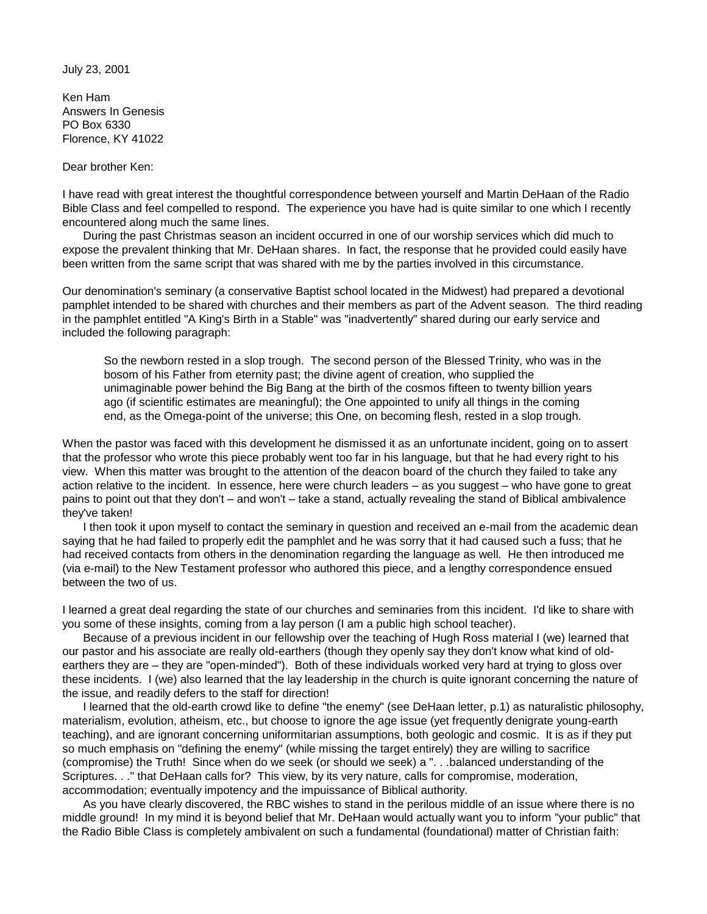July 23, 2001

Ken Ham Answers In Genesis PO Box 6330 Florence, KY 41022

Dear brother Ken:

I have read with great interest the thoughtful correspondence between yourself and Martin DeHaan of the Radio Bible Class and feel compelled to respond. The experience you have had is quite similar to one which I recently encountered along much the same lines.

During the past Christmas season an incident occurred in one of our worship services which did much to expose the prevalent thinking that Mr. DeHaan shares. In fact, the response that he provided could easily have been written from the same script that was shared with me by the parties involved in this circumstance.

Our denomination's seminary (a conservative Baptist school located in the Midwest) had prepared a devotional pamphlet intended to be shared with churches and their members as part of the Advent season. The third reading in the pamphlet entitled "A King's Birth in a Stable" was "inadvertently" shared during our early service and included the following paragraph:

So the newborn rested in a slop trough. The second person of the Blessed Trinity, who was in the bosom of his Father from eternity past; the divine agent of creation, who supplied the unimaginable power behind the Big Bang at the birth of the cosmos fifteen to twenty billion years ago (if scientific estimates are meaningful); the One appointed to unify all things in the coming end, as the Omega-point of the universe; this One, on becoming flesh, rested in a slop trough.

When the pastor was faced with this development he dismissed it as an unfortunate incident, going on to assert that the professor who wrote this piece probably went too far in his language, but that he had every right to his view. When this matter was brought to the attention of the deacon board of the church they failed to take any action relative to the incident. In essence, here were church leaders – as you suggest – who have gone to great pains to point out that they don't – and won't – take a stand, actually revealing the stand of Biblical ambivalence they've taken!

I then took it upon myself to contact the seminary in question and received an e-mail from the academic dean saying that he had failed to properly edit the pamphlet and he was sorry that it had caused such a fuss; that he had received contacts from others in the denomination regarding the language as well. He then introduced me (via e-mail) to the New Testament professor who authored this piece, and a lengthy correspondence ensued between the two of us.

I learned a great deal regarding the state of our churches and seminaries from this incident. I'd like to share with you some of these insights, coming from a lay person (I am a public high school teacher).

Because of a previous incident in our fellowship over the teaching of Hugh Ross material I (we) learned that our pastor and his associate are really old-earthers (though they openly say they don't know what kind of oldearthers they are – they are "open-minded"). Both of these individuals worked very hard at trying to gloss over these incidents. I (we) also learned that the lay leadership in the church is quite ignorant concerning the nature of the issue, and readily defers to the staff for direction!

I learned that the old-earth crowd like to define "the enemy" (see DeHaan letter, p.1) as naturalistic philosophy, materialism, evolution, atheism, etc., but choose to ignore the age issue (yet frequently denigrate young-earth teaching), and are ignorant concerning uniformitarian assumptions, both geologic and cosmic. It is as if they put so much emphasis on "defining the enemy" (while missing the target entirely) they are willing to sacrifice (compromise) the Truth! Since when do we seek (or should we seek) a ". . .balanced understanding of the Scriptures. . ." that DeHaan calls for? This view, by its very nature, calls for compromise, moderation, accommodation; eventually impotency and the impuissance of Biblical authority.

As you have clearly discovered, the RBC wishes to stand in the perilous middle of an issue where there is no middle ground! In my mind it is beyond belief that Mr. DeHaan would actually want you to inform "your public" that the Radio Bible Class is completely ambivalent on such a fundamental (foundational) matter of Christian faith: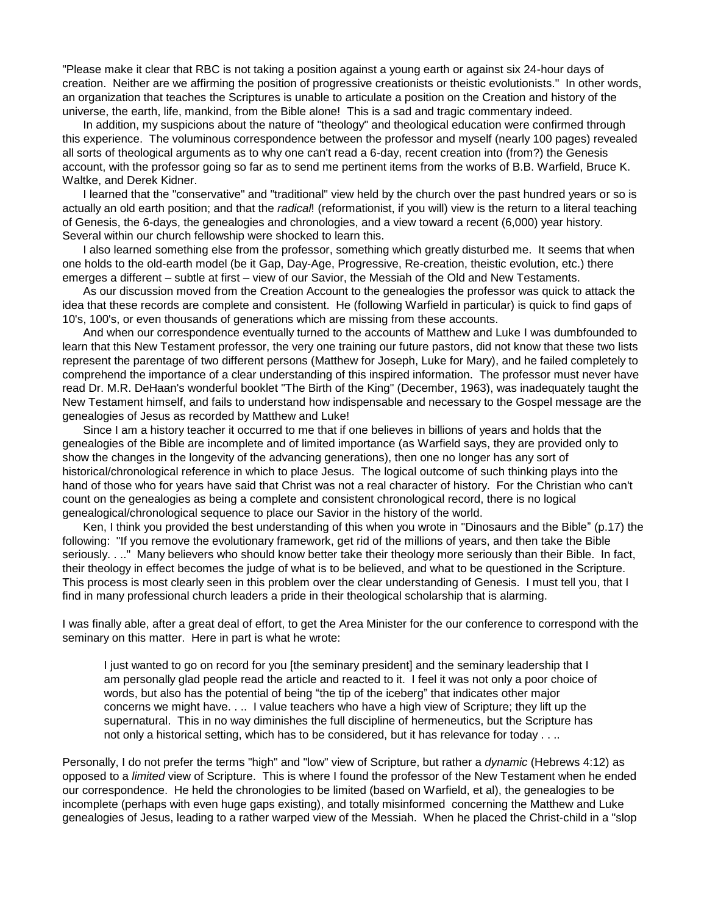"Please make it clear that RBC is not taking a position against a young earth or against six 24-hour days of creation. Neither are we affirming the position of progressive creationists or theistic evolutionists." In other words, an organization that teaches the Scriptures is unable to articulate a position on the Creation and history of the universe, the earth, life, mankind, from the Bible alone! This is a sad and tragic commentary indeed.

In addition, my suspicions about the nature of "theology" and theological education were confirmed through this experience. The voluminous correspondence between the professor and myself (nearly 100 pages) revealed all sorts of theological arguments as to why one can't read a 6-day, recent creation into (from?) the Genesis account, with the professor going so far as to send me pertinent items from the works of B.B. Warfield, Bruce K. Waltke, and Derek Kidner.

I learned that the "conservative" and "traditional" view held by the church over the past hundred years or so is actually an old earth position; and that the *radical*! (reformationist, if you will) view is the return to a literal teaching of Genesis, the 6-days, the genealogies and chronologies, and a view toward a recent (6,000) year history. Several within our church fellowship were shocked to learn this.

I also learned something else from the professor, something which greatly disturbed me. It seems that when one holds to the old-earth model (be it Gap, Day-Age, Progressive, Re-creation, theistic evolution, etc.) there emerges a different – subtle at first – view of our Savior, the Messiah of the Old and New Testaments.

As our discussion moved from the Creation Account to the genealogies the professor was quick to attack the idea that these records are complete and consistent. He (following Warfield in particular) is quick to find gaps of 10's, 100's, or even thousands of generations which are missing from these accounts.

And when our correspondence eventually turned to the accounts of Matthew and Luke I was dumbfounded to learn that this New Testament professor, the very one training our future pastors, did not know that these two lists represent the parentage of two different persons (Matthew for Joseph, Luke for Mary), and he failed completely to comprehend the importance of a clear understanding of this inspired information. The professor must never have read Dr. M.R. DeHaan's wonderful booklet "The Birth of the King" (December, 1963), was inadequately taught the New Testament himself, and fails to understand how indispensable and necessary to the Gospel message are the genealogies of Jesus as recorded by Matthew and Luke!

Since I am a history teacher it occurred to me that if one believes in billions of years and holds that the genealogies of the Bible are incomplete and of limited importance (as Warfield says, they are provided only to show the changes in the longevity of the advancing generations), then one no longer has any sort of historical/chronological reference in which to place Jesus. The logical outcome of such thinking plays into the hand of those who for years have said that Christ was not a real character of history. For the Christian who can't count on the genealogies as being a complete and consistent chronological record, there is no logical genealogical/chronological sequence to place our Savior in the history of the world.

Ken, I think you provided the best understanding of this when you wrote in "Dinosaurs and the Bible" (p.17) the following: "If you remove the evolutionary framework, get rid of the millions of years, and then take the Bible seriously. . .." Many believers who should know better take their theology more seriously than their Bible. In fact, their theology in effect becomes the judge of what is to be believed, and what to be questioned in the Scripture. This process is most clearly seen in this problem over the clear understanding of Genesis. I must tell you, that I find in many professional church leaders a pride in their theological scholarship that is alarming.

I was finally able, after a great deal of effort, to get the Area Minister for the our conference to correspond with the seminary on this matter. Here in part is what he wrote:

I just wanted to go on record for you [the seminary president] and the seminary leadership that I am personally glad people read the article and reacted to it. I feel it was not only a poor choice of words, but also has the potential of being "the tip of the iceberg" that indicates other major concerns we might have. . .. I value teachers who have a high view of Scripture; they lift up the supernatural. This in no way diminishes the full discipline of hermeneutics, but the Scripture has not only a historical setting, which has to be considered, but it has relevance for today . . ..

Personally, I do not prefer the terms "high" and "low" view of Scripture, but rather a *dynamic* (Hebrews 4:12) as opposed to a *limited* view of Scripture. This is where I found the professor of the New Testament when he ended our correspondence. He held the chronologies to be limited (based on Warfield, et al), the genealogies to be incomplete (perhaps with even huge gaps existing), and totally misinformed concerning the Matthew and Luke genealogies of Jesus, leading to a rather warped view of the Messiah. When he placed the Christ-child in a "slop